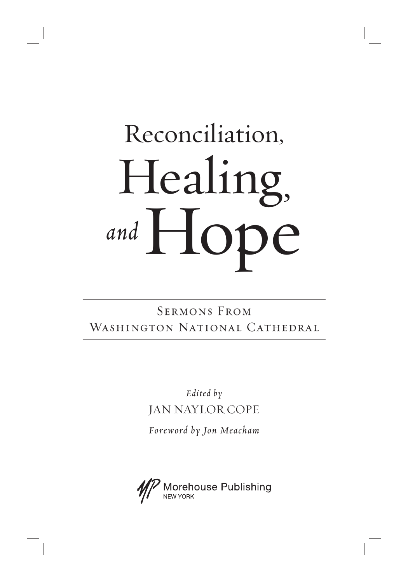# Reconciliation, Healing, and  $H$ ope

## SERMONS FROM WASHINGTON NATIONAL CATHEDRAL

*Edited by* JAN NAYLOR COPE

*Foreword by Jon Meacham*

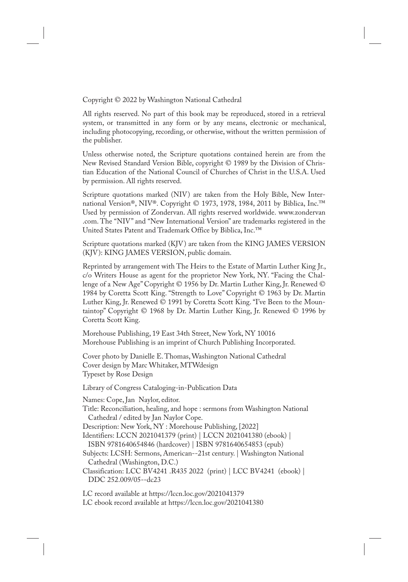Copyright © 2022 by Washington National Cathedral

All rights reserved. No part of this book may be reproduced, stored in a retrieval system, or transmitted in any form or by any means, electronic or mechanical, including photocopying, recording, or otherwise, without the written permission of the publisher.

Unless otherwise noted, the Scripture quotations contained herein are from the New Revised Standard Version Bible, copyright © 1989 by the Division of Christian Education of the National Council of Churches of Christ in the U.S.A. Used by permission. All rights reserved.

Scripture quotations marked (NIV) are taken from the Holy Bible, New International Version®, NIV®. Copyright © 1973, 1978, 1984, 2011 by Biblica, Inc.<sup>™</sup> Used by permission of Zondervan. All rights reserved worldwide. www.zondervan .com. The "NIV" and "New International Version" are trademarks registered in the United States Patent and Trademark Office by Biblica, Inc.™

Scripture quotations marked (KJV) are taken from the KING JAMES VERSION (KJV): KING JAMES VERSION, public domain.

Reprinted by arrangement with The Heirs to the Estate of Martin Luther King Jr., c/o Writers House as agent for the proprietor New York, NY. "Facing the Challenge of a New Age" Copyright © 1956 by Dr. Martin Luther King, Jr. Renewed © 1984 by Coretta Scott King. "Strength to Love" Copyright © 1963 by Dr. Martin Luther King, Jr. Renewed © 1991 by Coretta Scott King. "I've Been to the Mountaintop" Copyright © 1968 by Dr. Martin Luther King, Jr. Renewed © 1996 by Coretta Scott King.

Morehouse Publishing, 19 East 34th Street, New York, NY 10016 Morehouse Publishing is an imprint of Church Publishing Incorporated.

Cover photo by Danielle E. Thomas, Washington National Cathedral Cover design by Marc Whitaker, MTWdesign Typeset by Rose Design

Library of Congress Cataloging-in-Publication Data

Names: Cope, Jan Naylor, editor.

Title: Reconciliation, healing, and hope : sermons from Washington National Cathedral / edited by Jan Naylor Cope.

Description: New York, NY : Morehouse Publishing, [2022]

Identifiers: LCCN 2021041379 (print) | LCCN 2021041380 (ebook) | ISBN 9781640654846 (hardcover) | ISBN 9781640654853 (epub)

- Subjects: LCSH: Sermons, American--21st century. | Washington National Cathedral (Washington, D.C.)
- Classification: LCC BV4241 .R435 2022 (print) | LCC BV4241 (ebook) | DDC 252.009/05--dc23

LC record available at https://lccn.loc.gov/2021041379

LC ebook record available at https://lccn.loc.gov/2021041380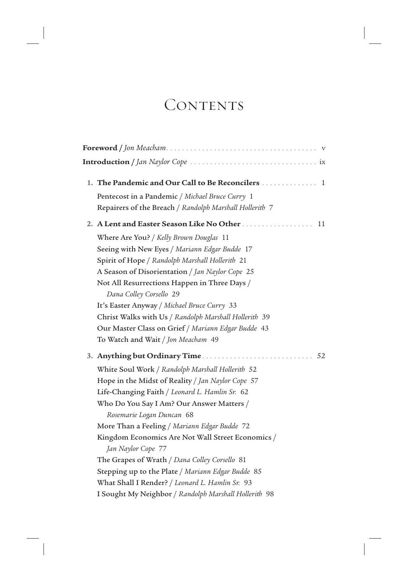## CONTENTS

|                                                 | $\mathbf{V}$                                            |  |  |  |  |
|-------------------------------------------------|---------------------------------------------------------|--|--|--|--|
|                                                 |                                                         |  |  |  |  |
|                                                 | 1. The Pandemic and Our Call to Be Reconcilers 1        |  |  |  |  |
|                                                 | Pentecost in a Pandemic / Michael Bruce Curry 1         |  |  |  |  |
|                                                 | Repairers of the Breach / Randolph Marshall Hollerith 7 |  |  |  |  |
|                                                 | 11                                                      |  |  |  |  |
|                                                 | Where Are You? / Kelly Brown Douglas 11                 |  |  |  |  |
|                                                 | Seeing with New Eyes / Mariann Edgar Budde 17           |  |  |  |  |
|                                                 | Spirit of Hope / Randolph Marshall Hollerith 21         |  |  |  |  |
| A Season of Disorientation / Jan Naylor Cope 25 |                                                         |  |  |  |  |
| Not All Resurrections Happen in Three Days /    |                                                         |  |  |  |  |
|                                                 | Dana Colley Corsello 29                                 |  |  |  |  |
|                                                 | It's Easter Anyway / Michael Bruce Curry 33             |  |  |  |  |
|                                                 | Christ Walks with Us / Randolph Marshall Hollerith 39   |  |  |  |  |
|                                                 | Our Master Class on Grief / Mariann Edgar Budde 43      |  |  |  |  |
|                                                 | To Watch and Wait / Jon Meacham 49                      |  |  |  |  |
|                                                 | 52                                                      |  |  |  |  |
|                                                 | White Soul Work / Randolph Marshall Hollerith 52        |  |  |  |  |
|                                                 | Hope in the Midst of Reality / Jan Naylor Cope 57       |  |  |  |  |
|                                                 | Life-Changing Faith / Leonard L. Hamlin Sr. 62          |  |  |  |  |
|                                                 | Who Do You Say I Am? Our Answer Matters /               |  |  |  |  |
|                                                 | Rosemarie Logan Duncan 68                               |  |  |  |  |
|                                                 | More Than a Feeling / Mariann Edgar Budde 72            |  |  |  |  |
|                                                 | Kingdom Economics Are Not Wall Street Economics /       |  |  |  |  |
|                                                 | Jan Naylor Cope 77                                      |  |  |  |  |
|                                                 | The Grapes of Wrath / Dana Colley Corsello 81           |  |  |  |  |
|                                                 | Stepping up to the Plate / Mariann Edgar Budde 85       |  |  |  |  |
|                                                 | What Shall I Render? / Leonard L. Hamlin Sr. 93         |  |  |  |  |
|                                                 | I Sought My Neighbor / Randolph Marshall Hollerith 98   |  |  |  |  |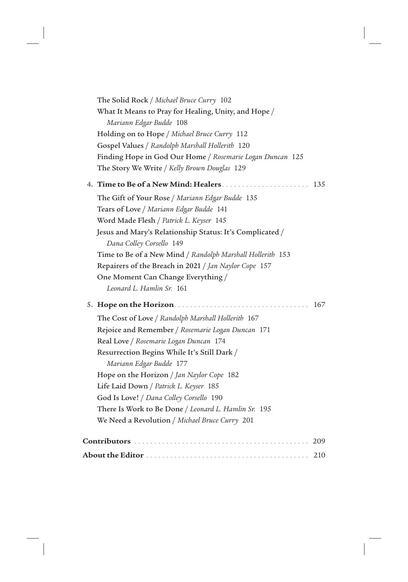| The Solid Rock / Michael Bruce Curry 102                   |     |
|------------------------------------------------------------|-----|
| What It Means to Pray for Healing, Unity, and Hope /       |     |
| Mariann Edgar Budde 108                                    |     |
| Holding on to Hope / Michael Bruce Curry 112               |     |
| Gospel Values / Randolph Marshall Hollerith 120            |     |
| Finding Hope in God Our Home / Rosemarie Logan Duncan 125  |     |
| The Story We Write / Kelly Brown Douglas 129               |     |
| 4. Time to Be of a New Mind: Healers                       | 135 |
| The Gift of Your Rose / Mariann Edgar Budde 135            |     |
| Tears of Love / Mariann Edgar Budde 141                    |     |
| Word Made Flesh / Patrick L. Keyser 145                    |     |
| Jesus and Mary's Relationship Status: It's Complicated /   |     |
| Dana Colley Corsello 149                                   |     |
| Time to Be of a New Mind / Randolph Marshall Hollerith 153 |     |
| Repairers of the Breach in 2021 / Jan Naylor Cope 157      |     |
| One Moment Can Change Everything /                         |     |
| Leonard L. Hamlin Sr. 161                                  |     |
|                                                            | 167 |
| The Cost of Love / Randolph Marshall Hollerith 167         |     |
| Rejoice and Remember / Rosemarie Logan Duncan 171          |     |
| Real Love / Rosemarie Logan Duncan 174                     |     |
| Resurrection Begins While It's Still Dark /                |     |
| Mariann Edgar Budde 177                                    |     |
| Hope on the Horizon / Jan Naylor Cope 182                  |     |
| Life Laid Down / Patrick L. Keyser 185                     |     |
| God Is Love! / Dana Colley Corsello 190                    |     |
| There Is Work to Be Done / Leonard L. Hamlin Sr. 195       |     |
| We Need a Revolution / Michael Bruce Curry 201             |     |
|                                                            | 209 |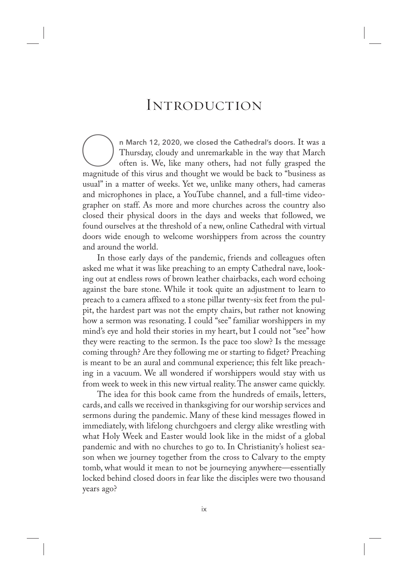### **INTRODUCTION**

In March 12, 2020, we closed the Cathedral's doors. It was a Thursday, cloudy and unremarkable in the way that March often is. We, like many others, had not fully grasped the magnitude of this virus and thought we would be Thursday, cloudy and unremarkable in the way that March often is. We, like many others, had not fully grasped the usual" in a matter of weeks. Yet we, unlike many others, had cameras and microphones in place, a YouTube channel, and a full-time videographer on staff. As more and more churches across the country also closed their physical doors in the days and weeks that followed, we found ourselves at the threshold of a new, online Cathedral with virtual doors wide enough to welcome worshippers from across the country and around the world.

In those early days of the pandemic, friends and colleagues often asked me what it was like preaching to an empty Cathedral nave, looking out at endless rows of brown leather chairbacks, each word echoing against the bare stone. While it took quite an adjustment to learn to preach to a camera affixed to a stone pillar twenty-six feet from the pulpit, the hardest part was not the empty chairs, but rather not knowing how a sermon was resonating. I could "see" familiar worshippers in my mind's eye and hold their stories in my heart, but I could not "see" how they were reacting to the sermon. Is the pace too slow? Is the message coming through? Are they following me or starting to fidget? Preaching is meant to be an aural and communal experience; this felt like preaching in a vacuum. We all wondered if worshippers would stay with us from week to week in this new virtual reality. The answer came quickly.

The idea for this book came from the hundreds of emails, letters, cards, and calls we received in thanksgiving for our worship services and sermons during the pandemic. Many of these kind messages flowed in immediately, with lifelong churchgoers and clergy alike wrestling with what Holy Week and Easter would look like in the midst of a global pandemic and with no churches to go to. In Christianity's holiest season when we journey together from the cross to Calvary to the empty tomb, what would it mean to not be journeying anywhere—essentially locked behind closed doors in fear like the disciples were two thousand years ago?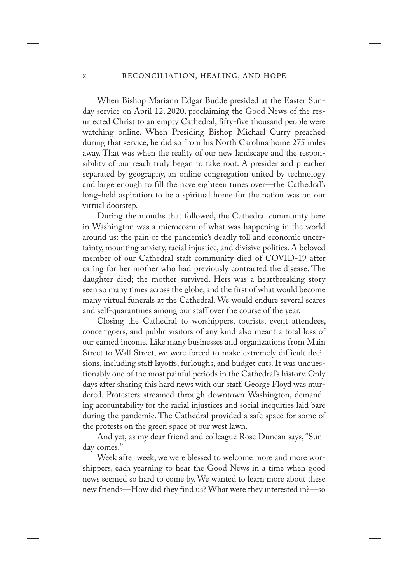When Bishop Mariann Edgar Budde presided at the Easter Sunday service on April 12, 2020, proclaiming the Good News of the resurrected Christ to an empty Cathedral, fifty-five thousand people were watching online. When Presiding Bishop Michael Curry preached during that service, he did so from his North Carolina home 275 miles away. That was when the reality of our new landscape and the responsibility of our reach truly began to take root. A presider and preacher separated by geography, an online congregation united by technology and large enough to fill the nave eighteen times over—the Cathedral's long-held aspiration to be a spiritual home for the nation was on our virtual doorstep.

During the months that followed, the Cathedral community here in Washington was a microcosm of what was happening in the world around us: the pain of the pandemic's deadly toll and economic uncertainty, mounting anxiety, racial injustice, and divisive politics. A beloved member of our Cathedral staff community died of COVID-19 after caring for her mother who had previously contracted the disease. The daughter died; the mother survived. Hers was a heartbreaking story seen so many times across the globe, and the first of what would become many virtual funerals at the Cathedral. We would endure several scares and self-quarantines among our staff over the course of the year.

Closing the Cathedral to worshippers, tourists, event attendees, concertgoers, and public visitors of any kind also meant a total loss of our earned income. Like many businesses and organizations from Main Street to Wall Street, we were forced to make extremely difficult decisions, including staff layoffs, furloughs, and budget cuts. It was unquestionably one of the most painful periods in the Cathedral's history. Only days after sharing this hard news with our staff, George Floyd was murdered. Protesters streamed through downtown Washington, demanding accountability for the racial injustices and social inequities laid bare during the pandemic. The Cathedral provided a safe space for some of the protests on the green space of our west lawn.

And yet, as my dear friend and colleague Rose Duncan says, "Sunday comes."

Week after week, we were blessed to welcome more and more worshippers, each yearning to hear the Good News in a time when good news seemed so hard to come by. We wanted to learn more about these new friends—How did they find us? What were they interested in?—so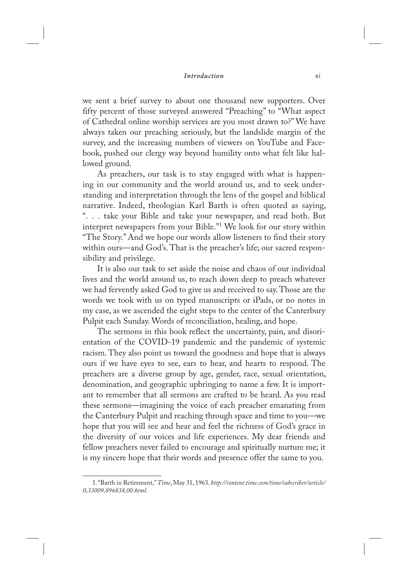#### *Introduction* xi

we sent a brief survey to about one thousand new supporters. Over fifty percent of those surveyed answered "Preaching" to "What aspect of Cathedral online worship services are you most drawn to?" We have always taken our preaching seriously, but the landslide margin of the survey, and the increasing numbers of viewers on YouTube and Facebook, pushed our clergy way beyond humility onto what felt like hallowed ground.

As preachers, our task is to stay engaged with what is happening in our community and the world around us, and to seek understanding and interpretation through the lens of the gospel and biblical narrative. Indeed, theologian Karl Barth is often quoted as saying, ". . . take your Bible and take your newspaper, and read both. But interpret newspapers from your Bible."1 We look for our story within "The Story." And we hope our words allow listeners to find their story within ours—and God's. That is the preacher's life; our sacred responsibility and privilege.

It is also our task to set aside the noise and chaos of our individual lives and the world around us, to reach down deep to preach whatever we had fervently asked God to give us and received to say. Those are the words we took with us on typed manuscripts or iPads, or no notes in my case, as we ascended the eight steps to the center of the Canterbury Pulpit each Sunday. Words of reconciliation, healing, and hope.

The sermons in this book reflect the uncertainty, pain, and disorientation of the COVID-19 pandemic and the pandemic of systemic racism. They also point us toward the goodness and hope that is always ours if we have eyes to see, ears to hear, and hearts to respond. The preachers are a diverse group by age, gender, race, sexual orientation, denomination, and geographic upbringing to name a few. It is important to remember that all sermons are crafted to be heard. As you read these sermons—imagining the voice of each preacher emanating from the Canterbury Pulpit and reaching through space and time to you—we hope that you will see and hear and feel the richness of God's grace in the diversity of our voices and life experiences. My dear friends and fellow preachers never failed to encourage and spiritually nurture me; it is my sincere hope that their words and presence offer the same to you.

<sup>1. &</sup>quot;Barth in Retirement," *Time*, May 31, 1963. *http://content.time.com/time/subscriber/article/ 0,33009,896838,00.html*.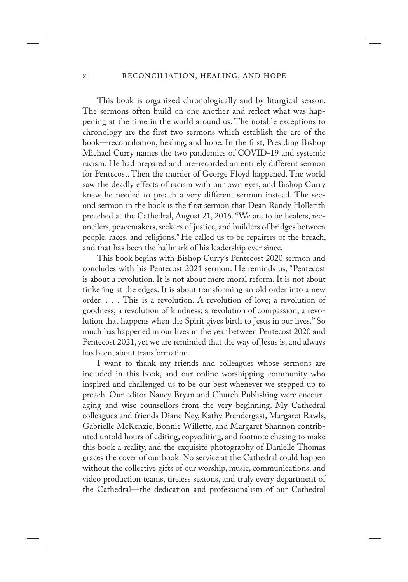This book is organized chronologically and by liturgical season. The sermons often build on one another and reflect what was happening at the time in the world around us. The notable exceptions to chronology are the first two sermons which establish the arc of the book—reconciliation, healing, and hope. In the first, Presiding Bishop Michael Curry names the two pandemics of COVID-19 and systemic racism. He had prepared and pre-recorded an entirely different sermon for Pentecost. Then the murder of George Floyd happened. The world saw the deadly effects of racism with our own eyes, and Bishop Curry knew he needed to preach a very different sermon instead. The second sermon in the book is the first sermon that Dean Randy Hollerith preached at the Cathedral, August 21, 2016. "We are to be healers, reconcilers, peacemakers, seekers of justice, and builders of bridges between people, races, and religions." He called us to be repairers of the breach, and that has been the hallmark of his leadership ever since.

This book begins with Bishop Curry's Pentecost 2020 sermon and concludes with his Pentecost 2021 sermon. He reminds us, "Pentecost is about a revolution. It is not about mere moral reform. It is not about tinkering at the edges. It is about transforming an old order into a new order. . . . This is a revolution. A revolution of love; a revolution of goodness; a revolution of kindness; a revolution of compassion; a revolution that happens when the Spirit gives birth to Jesus in our lives." So much has happened in our lives in the year between Pentecost 2020 and Pentecost 2021, yet we are reminded that the way of Jesus is, and always has been, about transformation.

I want to thank my friends and colleagues whose sermons are included in this book, and our online worshipping community who inspired and challenged us to be our best whenever we stepped up to preach. Our editor Nancy Bryan and Church Publishing were encouraging and wise counsellors from the very beginning. My Cathedral colleagues and friends Diane Ney, Kathy Prendergast, Margaret Rawls, Gabrielle McKenzie, Bonnie Willette, and Margaret Shannon contributed untold hours of editing, copyediting, and footnote chasing to make this book a reality, and the exquisite photography of Danielle Thomas graces the cover of our book. No service at the Cathedral could happen without the collective gifts of our worship, music, communications, and video production teams, tireless sextons, and truly every department of the Cathedral—the dedication and professionalism of our Cathedral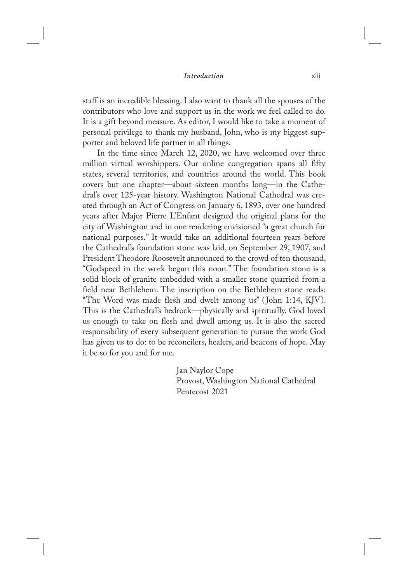staff is an incredible blessing. I also want to thank all the spouses of the contributors who love and support us in the work we feel called to do. It is a gift beyond measure. As editor, I would like to take a moment of personal privilege to thank my husband, John, who is my biggest supporter and beloved life partner in all things.

In the time since March 12, 2020, we have welcomed over three million virtual worshippers. Our online congregation spans all fifty states, several territories, and countries around the world. This book covers but one chapter—about sixteen months long—in the Cathedral's over 125-year history. Washington National Cathedral was created through an Act of Congress on January 6, 1893, over one hundred years after Major Pierre L'Enfant designed the original plans for the city of Washington and in one rendering envisioned "a great church for national purposes." It would take an additional fourteen years before the Cathedral's foundation stone was laid, on September 29, 1907, and President Theodore Roosevelt announced to the crowd of ten thousand, "Godspeed in the work begun this noon." The foundation stone is a solid block of granite embedded with a smaller stone quarried from a field near Bethlehem. The inscription on the Bethlehem stone reads: "The Word was made flesh and dwelt among us" ( John 1:14, KJV). This is the Cathedral's bedrock—physically and spiritually. God loved us enough to take on flesh and dwell among us. It is also the sacred responsibility of every subsequent generation to pursue the work God has given us to do: to be reconcilers, healers, and beacons of hope. May it be so for you and for me.

> Jan Naylor Cope Provost, Washington National Cathedral Pentecost 2021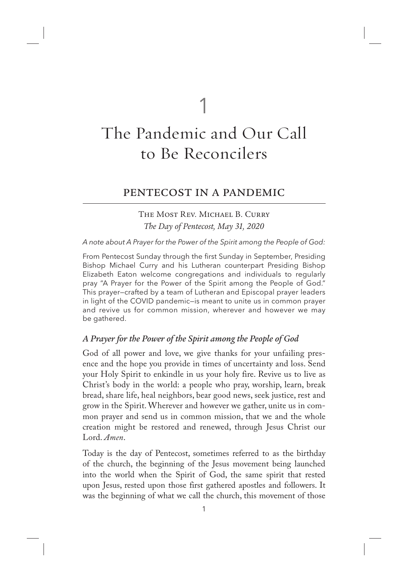# The Pandemic and Our Call to Be Reconcilers

#### PENTECOST IN A PANDEMIC

#### The Most Rev. Michael B. Curry*The Day of Pentecost, May 31, 2020*

A note about A Prayer for the Power of the Spirit among the People of God:

From Pentecost Sunday through the first Sunday in September, Presiding Bishop Michael Curry and his Lutheran counterpart Presiding Bishop Elizabeth Eaton welcome congregations and individuals to regularly pray "A Prayer for the Power of the Spirit among the People of God." This prayer—crafted by a team of Lutheran and Episcopal prayer leaders in light of the COVID pandemic—is meant to unite us in common prayer and revive us for common mission, wherever and however we may be gathered.

#### *A Prayer for the Power of the Spirit among the People of God*

God of all power and love, we give thanks for your unfailing presence and the hope you provide in times of uncertainty and loss. Send your Holy Spirit to enkindle in us your holy fire. Revive us to live as Christ's body in the world: a people who pray, worship, learn, break bread, share life, heal neighbors, bear good news, seek justice, rest and grow in the Spirit. Wherever and however we gather, unite us in common prayer and send us in common mission, that we and the whole creation might be restored and renewed, through Jesus Christ our Lord. *Amen*.

Today is the day of Pentecost, sometimes referred to as the birthday of the church, the beginning of the Jesus movement being launched into the world when the Spirit of God, the same spirit that rested upon Jesus, rested upon those first gathered apostles and followers. It was the beginning of what we call the church, this movement of those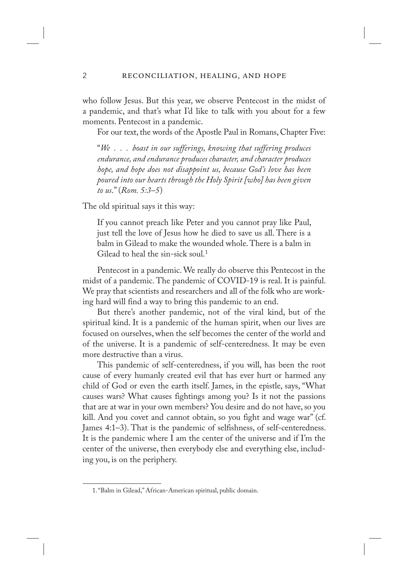who follow Jesus. But this year, we observe Pentecost in the midst of a pandemic, and that's what I'd like to talk with you about for a few moments. Pentecost in a pandemic.

For our text, the words of the Apostle Paul in Romans, Chapter Five:

"*We . . . boast in our sufferings, knowing that suffering produces endurance, and endurance produces character, and character produces hope, and hope does not disappoint us, because God's love has been poured into our hearts through the Holy Spirit [who] has been given to us*." (*Rom. 5:3–5* )

The old spiritual says it this way:

If you cannot preach like Peter and you cannot pray like Paul, just tell the love of Jesus how he died to save us all. There is a balm in Gilead to make the wounded whole. There is a balm in Gilead to heal the sin-sick soul.<sup>1</sup>

Pentecost in a pandemic. We really do observe this Pentecost in the midst of a pandemic. The pandemic of COVID-19 is real. It is painful. We pray that scientists and researchers and all of the folk who are working hard will find a way to bring this pandemic to an end.

But there's another pandemic, not of the viral kind, but of the spiritual kind. It is a pandemic of the human spirit, when our lives are focused on ourselves, when the self becomes the center of the world and of the universe. It is a pandemic of self-centeredness. It may be even more destructive than a virus.

This pandemic of self-centeredness, if you will, has been the root cause of every humanly created evil that has ever hurt or harmed any child of God or even the earth itself. James, in the epistle, says, "What causes wars? What causes fightings among you? Is it not the passions that are at war in your own members? You desire and do not have, so you kill. And you covet and cannot obtain, so you fight and wage war" (cf. James 4:1–3). That is the pandemic of selfishness, of self-centeredness. It is the pandemic where I am the center of the universe and if I'm the center of the universe, then everybody else and everything else, including you, is on the periphery.

<sup>1. &</sup>quot;Balm in Gilead," African-American spiritual, public domain.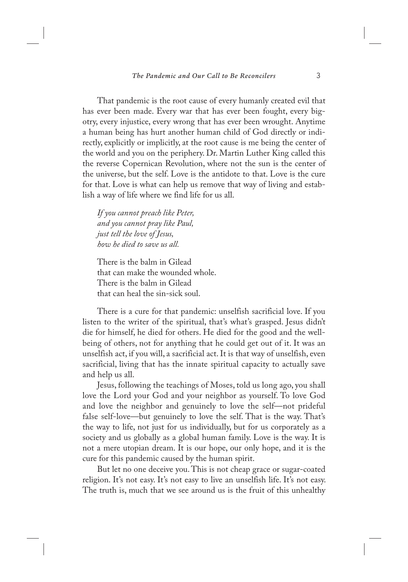That pandemic is the root cause of every humanly created evil that has ever been made. Every war that has ever been fought, every bigotry, every injustice, every wrong that has ever been wrought. Anytime a human being has hurt another human child of God directly or indirectly, explicitly or implicitly, at the root cause is me being the center of the world and you on the periphery. Dr. Martin Luther King called this the reverse Copernican Revolution, where not the sun is the center of the universe, but the self. Love is the antidote to that. Love is the cure for that. Love is what can help us remove that way of living and establish a way of life where we find life for us all.

*If you cannot preach like Peter, and you cannot pray like Paul, just tell the love of Jesus, how he died to save us all.*

There is the balm in Gilead that can make the wounded whole. There is the balm in Gilead that can heal the sin-sick soul.

There is a cure for that pandemic: unselfish sacrificial love. If you listen to the writer of the spiritual, that's what's grasped. Jesus didn't die for himself, he died for others. He died for the good and the wellbeing of others, not for anything that he could get out of it. It was an unselfish act, if you will, a sacrificial act. It is that way of unselfish, even sacrificial, living that has the innate spiritual capacity to actually save and help us all.

Jesus, following the teachings of Moses, told us long ago, you shall love the Lord your God and your neighbor as yourself. To love God and love the neighbor and genuinely to love the self—not prideful false self-love—but genuinely to love the self. That is the way. That's the way to life, not just for us individually, but for us corporately as a society and us globally as a global human family. Love is the way. It is not a mere utopian dream. It is our hope, our only hope, and it is the cure for this pandemic caused by the human spirit.

But let no one deceive you. This is not cheap grace or sugar-coated religion. It's not easy. It's not easy to live an unselfish life. It's not easy. The truth is, much that we see around us is the fruit of this unhealthy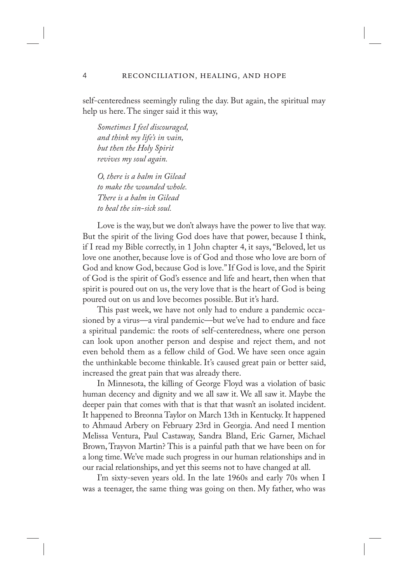self-centeredness seemingly ruling the day. But again, the spiritual may help us here. The singer said it this way,

*Sometimes I feel discouraged, and think my life's in vain, but then the Holy Spirit revives my soul again.*

*O, there is a balm in Gilead to make the wounded whole. There is a balm in Gilead to heal the sin-sick soul.*

Love is the way, but we don't always have the power to live that way. But the spirit of the living God does have that power, because I think, if I read my Bible correctly, in 1 John chapter 4, it says, "Beloved, let us love one another, because love is of God and those who love are born of God and know God, because God is love." If God is love, and the Spirit of God is the spirit of God's essence and life and heart, then when that spirit is poured out on us, the very love that is the heart of God is being poured out on us and love becomes possible. But it's hard.

This past week, we have not only had to endure a pandemic occasioned by a virus—a viral pandemic—but we've had to endure and face a spiritual pandemic: the roots of self-centeredness, where one person can look upon another person and despise and reject them, and not even behold them as a fellow child of God. We have seen once again the unthinkable become thinkable. It's caused great pain or better said, increased the great pain that was already there.

In Minnesota, the killing of George Floyd was a violation of basic human decency and dignity and we all saw it. We all saw it. Maybe the deeper pain that comes with that is that that wasn't an isolated incident. It happened to Breonna Taylor on March 13th in Kentucky. It happened to Ahmaud Arbery on February 23rd in Georgia. And need I mention Melissa Ventura, Paul Castaway, Sandra Bland, Eric Garner, Michael Brown, Trayvon Martin? This is a painful path that we have been on for a long time. We've made such progress in our human relationships and in our racial relationships, and yet this seems not to have changed at all.

I'm sixty-seven years old. In the late 1960s and early 70s when I was a teenager, the same thing was going on then. My father, who was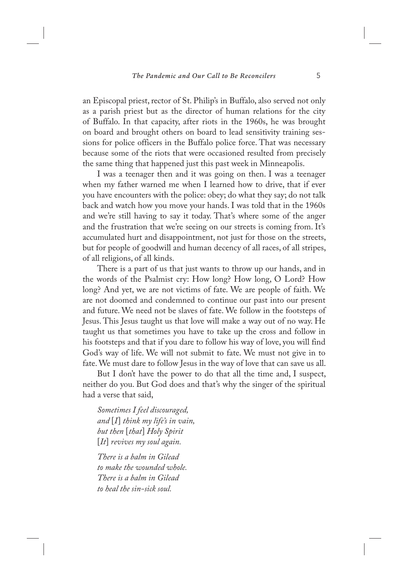an Episcopal priest, rector of St. Philip's in Buffalo, also served not only as a parish priest but as the director of human relations for the city of Buffalo. In that capacity, after riots in the 1960s, he was brought on board and brought others on board to lead sensitivity training sessions for police officers in the Buffalo police force. That was necessary because some of the riots that were occasioned resulted from precisely the same thing that happened just this past week in Minneapolis.

I was a teenager then and it was going on then. I was a teenager when my father warned me when I learned how to drive, that if ever you have encounters with the police: obey; do what they say; do not talk back and watch how you move your hands. I was told that in the 1960s and we're still having to say it today. That's where some of the anger and the frustration that we're seeing on our streets is coming from. It's accumulated hurt and disappointment, not just for those on the streets, but for people of goodwill and human decency of all races, of all stripes, of all religions, of all kinds.

There is a part of us that just wants to throw up our hands, and in the words of the Psalmist cry: How long? How long, O Lord? How long? And yet, we are not victims of fate. We are people of faith. We are not doomed and condemned to continue our past into our present and future. We need not be slaves of fate. We follow in the footsteps of Jesus. This Jesus taught us that love will make a way out of no way. He taught us that sometimes you have to take up the cross and follow in his footsteps and that if you dare to follow his way of love, you will find God's way of life. We will not submit to fate. We must not give in to fate. We must dare to follow Jesus in the way of love that can save us all.

But I don't have the power to do that all the time and, I suspect, neither do you. But God does and that's why the singer of the spiritual had a verse that said,

*Sometimes I feel discouraged, and* [*I* ] *think my life's in vain, but then* [*that*] *Holy Spirit* [*It*] *revives my soul again.*

*There is a balm in Gilead to make the wounded whole. There is a balm in Gilead to heal the sin-sick soul.*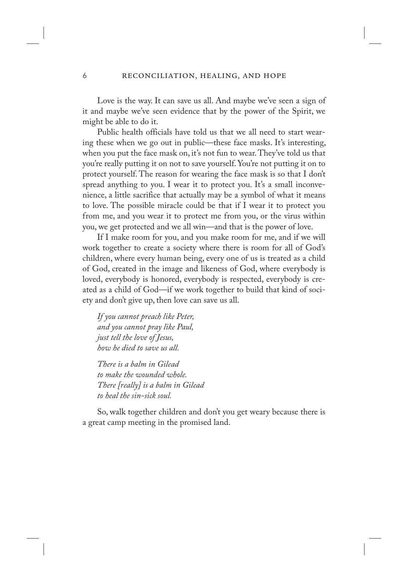Love is the way. It can save us all. And maybe we've seen a sign of it and maybe we've seen evidence that by the power of the Spirit, we might be able to do it.

Public health officials have told us that we all need to start wearing these when we go out in public—these face masks. It's interesting, when you put the face mask on, it's not fun to wear. They've told us that you're really putting it on not to save yourself. You're not putting it on to protect yourself. The reason for wearing the face mask is so that I don't spread anything to you. I wear it to protect you. It's a small inconvenience, a little sacrifice that actually may be a symbol of what it means to love. The possible miracle could be that if I wear it to protect you from me, and you wear it to protect me from you, or the virus within you, we get protected and we all win—and that is the power of love.

If I make room for you, and you make room for me, and if we will work together to create a society where there is room for all of God's children, where every human being, every one of us is treated as a child of God, created in the image and likeness of God, where everybody is loved, everybody is honored, everybody is respected, everybody is created as a child of God—if we work together to build that kind of society and don't give up, then love can save us all.

*If you cannot preach like Peter, and you cannot pray like Paul, just tell the love of Jesus, how he died to save us all.*

*There is a balm in Gilead to make the wounded whole. There [really] is a balm in Gilead to heal the sin-sick soul.*

So, walk together children and don't you get weary because there is a great camp meeting in the promised land.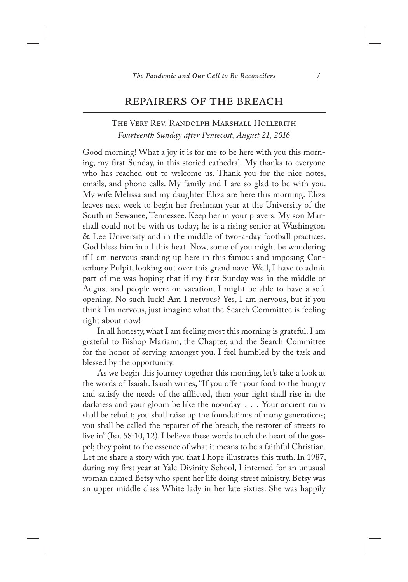#### REPAIRERS OF THE BREACH

#### The Very Rev. Randolph Marshall Hollerith*Fourteenth Sunday after Pentecost, August 21, 2016*

Good morning! What a joy it is for me to be here with you this morning, my first Sunday, in this storied cathedral. My thanks to everyone who has reached out to welcome us. Thank you for the nice notes, emails, and phone calls. My family and I are so glad to be with you. My wife Melissa and my daughter Eliza are here this morning. Eliza leaves next week to begin her freshman year at the University of the South in Sewanee, Tennessee. Keep her in your prayers. My son Marshall could not be with us today; he is a rising senior at Washington & Lee University and in the middle of two-a-day football practices. God bless him in all this heat. Now, some of you might be wondering if I am nervous standing up here in this famous and imposing Canterbury Pulpit, looking out over this grand nave. Well, I have to admit part of me was hoping that if my first Sunday was in the middle of August and people were on vacation, I might be able to have a soft opening. No such luck! Am I nervous? Yes, I am nervous, but if you think I'm nervous, just imagine what the Search Committee is feeling right about now!

In all honesty, what I am feeling most this morning is grateful. I am grateful to Bishop Mariann, the Chapter, and the Search Committee for the honor of serving amongst you. I feel humbled by the task and blessed by the opportunity.

As we begin this journey together this morning, let's take a look at the words of Isaiah. Isaiah writes, "If you offer your food to the hungry and satisfy the needs of the afflicted, then your light shall rise in the darkness and your gloom be like the noonday . . . Your ancient ruins shall be rebuilt; you shall raise up the foundations of many generations; you shall be called the repairer of the breach, the restorer of streets to live in" (Isa. 58:10, 12). I believe these words touch the heart of the gospel; they point to the essence of what it means to be a faithful Christian. Let me share a story with you that I hope illustrates this truth. In 1987, during my first year at Yale Divinity School, I interned for an unusual woman named Betsy who spent her life doing street ministry. Betsy was an upper middle class White lady in her late sixties. She was happily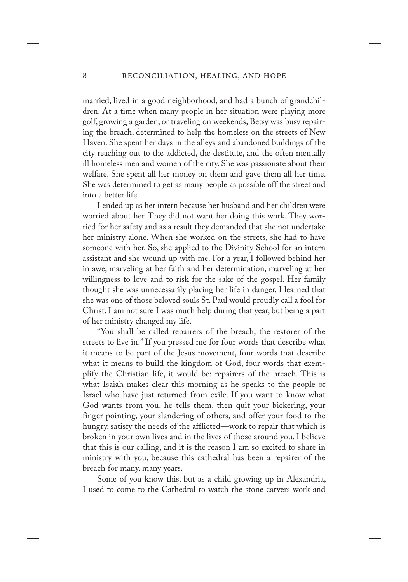married, lived in a good neighborhood, and had a bunch of grandchildren. At a time when many people in her situation were playing more golf, growing a garden, or traveling on weekends, Betsy was busy repairing the breach, determined to help the homeless on the streets of New Haven. She spent her days in the alleys and abandoned buildings of the city reaching out to the addicted, the destitute, and the often mentally ill homeless men and women of the city. She was passionate about their welfare. She spent all her money on them and gave them all her time. She was determined to get as many people as possible off the street and into a better life.

I ended up as her intern because her husband and her children were worried about her. They did not want her doing this work. They worried for her safety and as a result they demanded that she not undertake her ministry alone. When she worked on the streets, she had to have someone with her. So, she applied to the Divinity School for an intern assistant and she wound up with me. For a year, I followed behind her in awe, marveling at her faith and her determination, marveling at her willingness to love and to risk for the sake of the gospel. Her family thought she was unnecessarily placing her life in danger. I learned that she was one of those beloved souls St. Paul would proudly call a fool for Christ. I am not sure I was much help during that year, but being a part of her ministry changed my life.

"You shall be called repairers of the breach, the restorer of the streets to live in." If you pressed me for four words that describe what it means to be part of the Jesus movement, four words that describe what it means to build the kingdom of God, four words that exemplify the Christian life, it would be: repairers of the breach. This is what Isaiah makes clear this morning as he speaks to the people of Israel who have just returned from exile. If you want to know what God wants from you, he tells them, then quit your bickering, your finger pointing, your slandering of others, and offer your food to the hungry, satisfy the needs of the afflicted—work to repair that which is broken in your own lives and in the lives of those around you. I believe that this is our calling, and it is the reason I am so excited to share in ministry with you, because this cathedral has been a repairer of the breach for many, many years.

Some of you know this, but as a child growing up in Alexandria, I used to come to the Cathedral to watch the stone carvers work and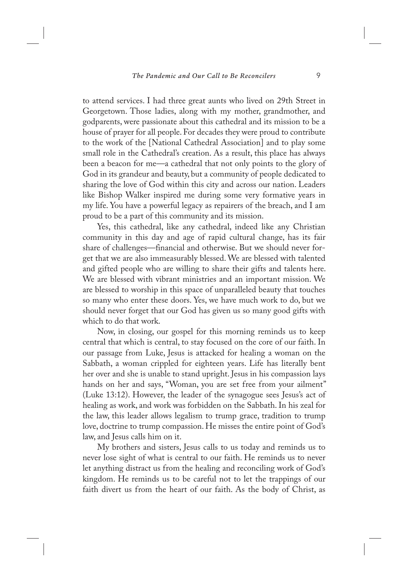to attend services. I had three great aunts who lived on 29th Street in Georgetown. Those ladies, along with my mother, grandmother, and godparents, were passionate about this cathedral and its mission to be a house of prayer for all people. For decades they were proud to contribute to the work of the [National Cathedral Association] and to play some small role in the Cathedral's creation. As a result, this place has always been a beacon for me—a cathedral that not only points to the glory of God in its grandeur and beauty, but a community of people dedicated to sharing the love of God within this city and across our nation. Leaders like Bishop Walker inspired me during some very formative years in my life. You have a powerful legacy as repairers of the breach, and I am proud to be a part of this community and its mission.

Yes, this cathedral, like any cathedral, indeed like any Christian community in this day and age of rapid cultural change, has its fair share of challenges—financial and otherwise. But we should never forget that we are also immeasurably blessed. We are blessed with talented and gifted people who are willing to share their gifts and talents here. We are blessed with vibrant ministries and an important mission. We are blessed to worship in this space of unparalleled beauty that touches so many who enter these doors. Yes, we have much work to do, but we should never forget that our God has given us so many good gifts with which to do that work.

Now, in closing, our gospel for this morning reminds us to keep central that which is central, to stay focused on the core of our faith. In our passage from Luke, Jesus is attacked for healing a woman on the Sabbath, a woman crippled for eighteen years. Life has literally bent her over and she is unable to stand upright. Jesus in his compassion lays hands on her and says, "Woman, you are set free from your ailment" (Luke 13:12). However, the leader of the synagogue sees Jesus's act of healing as work, and work was forbidden on the Sabbath. In his zeal for the law, this leader allows legalism to trump grace, tradition to trump love, doctrine to trump compassion. He misses the entire point of God's law, and Jesus calls him on it.

My brothers and sisters, Jesus calls to us today and reminds us to never lose sight of what is central to our faith. He reminds us to never let anything distract us from the healing and reconciling work of God's kingdom. He reminds us to be careful not to let the trappings of our faith divert us from the heart of our faith. As the body of Christ, as